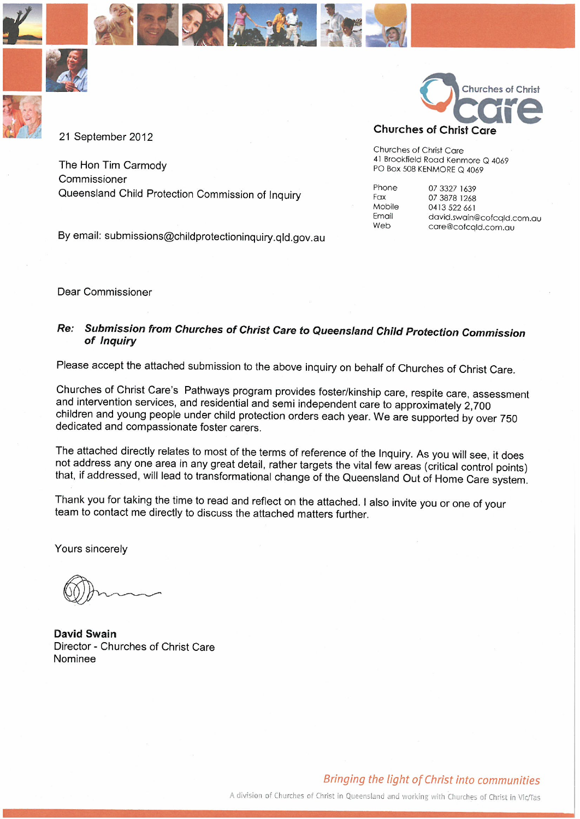





21 September 2012

The Hon Tim Carmody Commissioner Queensland Child Protection Commission of Inquiry

By email: submissions@childprotectioninquiry.qld.gov.au



Churches of Christ Care 41 Brookfield Road Kenmore Q 4069 PO Box 508 KENMORE Q 4069

Phone Fax Mobile Email Web

07 3327 1639 07 3878 1268 0413 522 661 david.swain@cofcqld.com.au care@cofcqld.com.au

Dear Commissioner

#### Submission from Churches of Christ Care to Queensland Child Protection Commission Re: of Inquiry

Please accept the attached submission to the above inquiry on behalf of Churches of Christ Care.

Churches of Christ Care's Pathways program provides foster/kinship care, respite care, assessment and intervention services, and residential and semi independent care to approximately 2,700 children and young people under child protection orders each year. We are supported by over 750 dedicated and compassionate foster carers.

The attached directly relates to most of the terms of reference of the Inquiry. As you will see, it does not address any one area in any great detail, rather targets the vital few areas (critical control points) that, if addressed, will lead to transformational change of the Queensland Out of Home Care system.

Thank you for taking the time to read and reflect on the attached. I also invite you or one of your team to contact me directly to discuss the attached matters further.

Yours sincerely

**David Swain** Director - Churches of Christ Care Nominee

A division of Churches of Christ in Queensland and working with Churches of Christ in Vic/Tas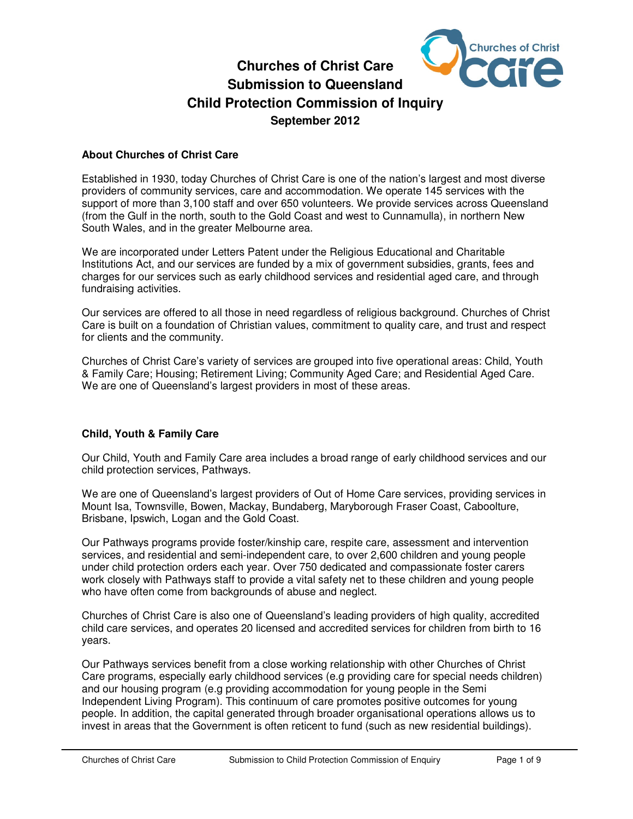

# **Churches of Christ Care Submission to Queensland Child Protection Commission of Inquiry September 2012**

## **About Churches of Christ Care**

Established in 1930, today Churches of Christ Care is one of the nation's largest and most diverse providers of community services, care and accommodation. We operate 145 services with the support of more than 3,100 staff and over 650 volunteers. We provide services across Queensland (from the Gulf in the north, south to the Gold Coast and west to Cunnamulla), in northern New South Wales, and in the greater Melbourne area.

We are incorporated under Letters Patent under the Religious Educational and Charitable Institutions Act, and our services are funded by a mix of government subsidies, grants, fees and charges for our services such as early childhood services and residential aged care, and through fundraising activities.

Our services are offered to all those in need regardless of religious background. Churches of Christ Care is built on a foundation of Christian values, commitment to quality care, and trust and respect for clients and the community.

Churches of Christ Care's variety of services are grouped into five operational areas: Child, Youth & Family Care; Housing; Retirement Living; Community Aged Care; and Residential Aged Care. We are one of Queensland's largest providers in most of these areas.

## **Child, Youth & Family Care**

Our Child, Youth and Family Care area includes a broad range of early childhood services and our child protection services, Pathways.

We are one of Queensland's largest providers of Out of Home Care services, providing services in Mount Isa, Townsville, Bowen, Mackay, Bundaberg, Maryborough Fraser Coast, Caboolture, Brisbane, Ipswich, Logan and the Gold Coast.

Our Pathways programs provide foster/kinship care, respite care, assessment and intervention services, and residential and semi-independent care, to over 2,600 children and young people under child protection orders each year. Over 750 dedicated and compassionate foster carers work closely with Pathways staff to provide a vital safety net to these children and young people who have often come from backgrounds of abuse and neglect.

Churches of Christ Care is also one of Queensland's leading providers of high quality, accredited child care services, and operates 20 licensed and accredited services for children from birth to 16 years.

Our Pathways services benefit from a close working relationship with other Churches of Christ Care programs, especially early childhood services (e.g providing care for special needs children) and our housing program (e.g providing accommodation for young people in the Semi Independent Living Program). This continuum of care promotes positive outcomes for young people. In addition, the capital generated through broader organisational operations allows us to invest in areas that the Government is often reticent to fund (such as new residential buildings).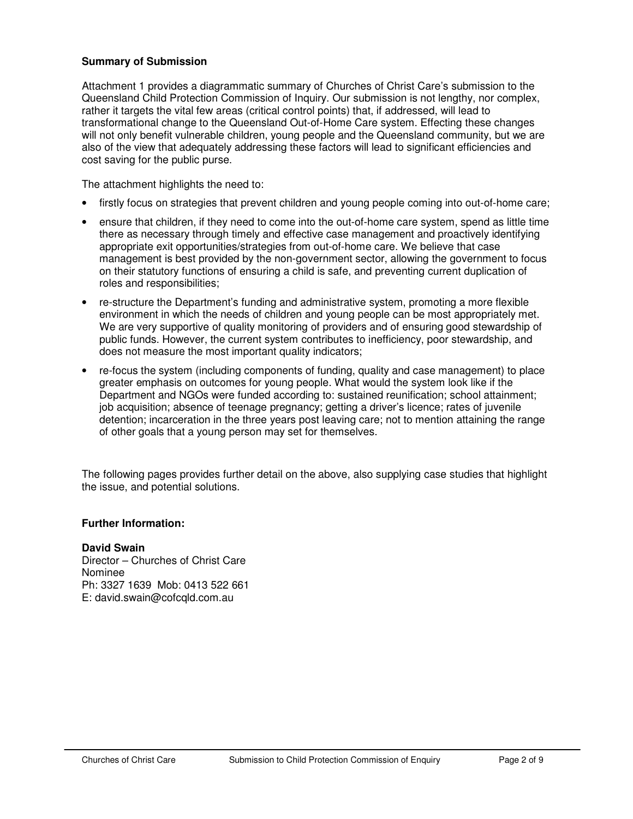## **Summary of Submission**

Attachment 1 provides a diagrammatic summary of Churches of Christ Care's submission to the Queensland Child Protection Commission of Inquiry. Our submission is not lengthy, nor complex, rather it targets the vital few areas (critical control points) that, if addressed, will lead to transformational change to the Queensland Out-of-Home Care system. Effecting these changes will not only benefit vulnerable children, young people and the Queensland community, but we are also of the view that adequately addressing these factors will lead to significant efficiencies and cost saving for the public purse.

The attachment highlights the need to:

- firstly focus on strategies that prevent children and young people coming into out-of-home care;
- ensure that children, if they need to come into the out-of-home care system, spend as little time there as necessary through timely and effective case management and proactively identifying appropriate exit opportunities/strategies from out-of-home care. We believe that case management is best provided by the non-government sector, allowing the government to focus on their statutory functions of ensuring a child is safe, and preventing current duplication of roles and responsibilities;
- re-structure the Department's funding and administrative system, promoting a more flexible environment in which the needs of children and young people can be most appropriately met. We are very supportive of quality monitoring of providers and of ensuring good stewardship of public funds. However, the current system contributes to inefficiency, poor stewardship, and does not measure the most important quality indicators;
- re-focus the system (including components of funding, quality and case management) to place greater emphasis on outcomes for young people. What would the system look like if the Department and NGOs were funded according to: sustained reunification; school attainment; job acquisition; absence of teenage pregnancy; getting a driver's licence; rates of juvenile detention; incarceration in the three years post leaving care; not to mention attaining the range of other goals that a young person may set for themselves.

The following pages provides further detail on the above, also supplying case studies that highlight the issue, and potential solutions.

## **Further Information:**

### **David Swain**

Director – Churches of Christ Care Nominee Ph: 3327 1639 Mob: 0413 522 661 E: david.swain@cofcqld.com.au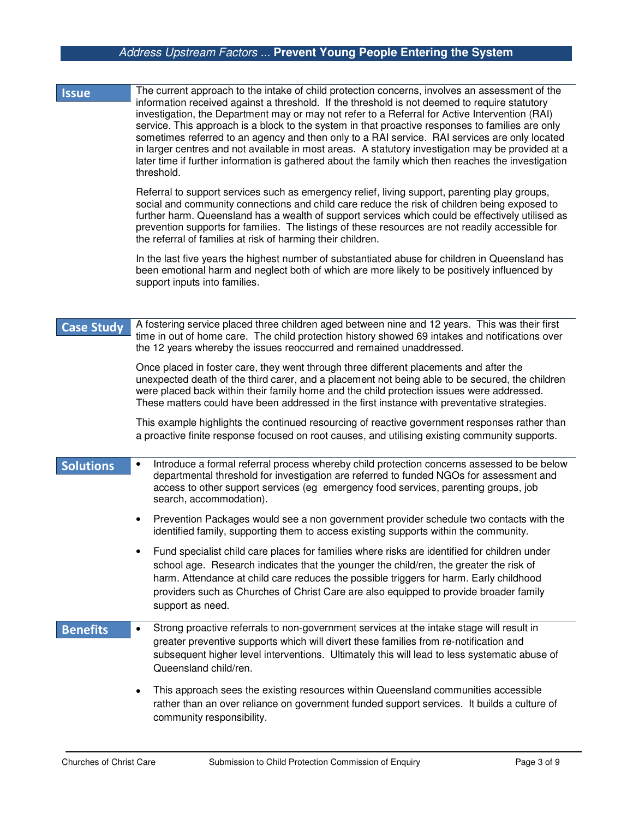## *Address Upstream Factors ...* **Prevent Young People Entering the System**

| <b>Issue</b> | The current approach to the intake of child protection concerns, involves an assessment of the                                                                                                                                                                                                                                                                                                                              |
|--------------|-----------------------------------------------------------------------------------------------------------------------------------------------------------------------------------------------------------------------------------------------------------------------------------------------------------------------------------------------------------------------------------------------------------------------------|
|              | information received against a threshold. If the threshold is not deemed to require statutory<br>investigation, the Department may or may not refer to a Referral for Active Intervention (RAI)                                                                                                                                                                                                                             |
|              | service. This approach is a block to the system in that proactive responses to families are only<br>sometimes referred to an agency and then only to a RAI service. RAI services are only located<br>in larger centres and not available in most areas. A statutory investigation may be provided at a<br>later time if further information is gathered about the family which then reaches the investigation<br>threshold. |

Referral to support services such as emergency relief, living support, parenting play groups, social and community connections and child care reduce the risk of children being exposed to further harm. Queensland has a wealth of support services which could be effectively utilised as prevention supports for families. The listings of these resources are not readily accessible for the referral of families at risk of harming their children.

In the last five years the highest number of substantiated abuse for children in Queensland has been emotional harm and neglect both of which are more likely to be positively influenced by support inputs into families.

**Case Study** A fostering service placed three children aged between nine and 12 years. This was their first time in out of home care. The child protection history showed 69 intakes and notifications over the 12 years whereby the issues reoccurred and remained unaddressed.

> Once placed in foster care, they went through three different placements and after the unexpected death of the third carer, and a placement not being able to be secured, the children were placed back within their family home and the child protection issues were addressed. These matters could have been addressed in the first instance with preventative strategies.

> This example highlights the continued resourcing of reactive government responses rather than a proactive finite response focused on root causes, and utilising existing community supports.

| <b>Solutions</b> |           | Introduce a formal referral process whereby child protection concerns assessed to be below<br>departmental threshold for investigation are referred to funded NGOs for assessment and<br>access to other support services (eg emergency food services, parenting groups, job<br>search, accommodation).                                                                                       |
|------------------|-----------|-----------------------------------------------------------------------------------------------------------------------------------------------------------------------------------------------------------------------------------------------------------------------------------------------------------------------------------------------------------------------------------------------|
|                  | $\bullet$ | Prevention Packages would see a non government provider schedule two contacts with the<br>identified family, supporting them to access existing supports within the community.                                                                                                                                                                                                                |
|                  | ٠         | Fund specialist child care places for families where risks are identified for children under<br>school age. Research indicates that the younger the child/ren, the greater the risk of<br>harm. Attendance at child care reduces the possible triggers for harm. Early childhood<br>providers such as Churches of Christ Care are also equipped to provide broader family<br>support as need. |
| <b>Benefits</b>  | $\bullet$ | Strong proactive referrals to non-government services at the intake stage will result in<br>greater preventive supports which will divert these families from re-notification and<br>subsequent higher level interventions. Ultimately this will lead to less systematic abuse of<br>Queensland child/ren.                                                                                    |
|                  |           | This approach sees the existing resources within Queensland communities accessible<br>rather than an over reliance on government funded support services. It builds a culture of<br>community responsibility.                                                                                                                                                                                 |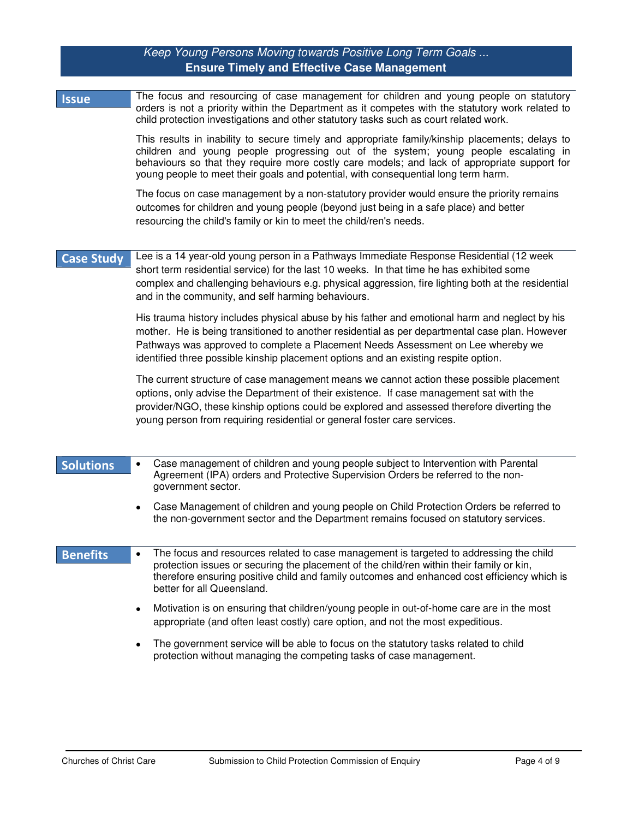## *Keep Young Persons Moving towards Positive Long Term Goals ...* **Ensure Timely and Effective Case Management**

| <b>Issue</b>      | The focus and resourcing of case management for children and young people on statutory<br>orders is not a priority within the Department as it competes with the statutory work related to<br>child protection investigations and other statutory tasks such as court related work.<br>This results in inability to secure timely and appropriate family/kinship placements; delays to<br>children and young people progressing out of the system; young people escalating in<br>behaviours so that they require more costly care models; and lack of appropriate support for<br>young people to meet their goals and potential, with consequential long term harm.<br>The focus on case management by a non-statutory provider would ensure the priority remains<br>outcomes for children and young people (beyond just being in a safe place) and better<br>resourcing the child's family or kin to meet the child/ren's needs. |
|-------------------|-----------------------------------------------------------------------------------------------------------------------------------------------------------------------------------------------------------------------------------------------------------------------------------------------------------------------------------------------------------------------------------------------------------------------------------------------------------------------------------------------------------------------------------------------------------------------------------------------------------------------------------------------------------------------------------------------------------------------------------------------------------------------------------------------------------------------------------------------------------------------------------------------------------------------------------|
| <b>Case Study</b> | Lee is a 14 year-old young person in a Pathways Immediate Response Residential (12 week<br>short term residential service) for the last 10 weeks. In that time he has exhibited some<br>complex and challenging behaviours e.g. physical aggression, fire lighting both at the residential<br>and in the community, and self harming behaviours.<br>His trauma history includes physical abuse by his father and emotional harm and neglect by his<br>mother. He is being transitioned to another residential as per departmental case plan. However<br>Pathways was approved to complete a Placement Needs Assessment on Lee whereby we<br>identified three possible kinship placement options and an existing respite option.                                                                                                                                                                                                   |
|                   | The current structure of case management means we cannot action these possible placement<br>options, only advise the Department of their existence. If case management sat with the<br>provider/NGO, these kinship options could be explored and assessed therefore diverting the<br>young person from requiring residential or general foster care services.                                                                                                                                                                                                                                                                                                                                                                                                                                                                                                                                                                     |
| <b>Solutions</b>  | Case management of children and young people subject to Intervention with Parental<br>Agreement (IPA) orders and Protective Supervision Orders be referred to the non-<br>government sector.<br>Case Management of children and young people on Child Protection Orders be referred to<br>$\bullet$<br>the non-government sector and the Department remains focused on statutory services.                                                                                                                                                                                                                                                                                                                                                                                                                                                                                                                                        |
| <b>Benefits</b>   | The focus and resources related to case management is targeted to addressing the child<br>protection issues or securing the placement of the child/ren within their family or kin,<br>therefore ensuring positive child and family outcomes and enhanced cost efficiency which is<br>better for all Queensland.<br>Motivation is on ensuring that children/young people in out-of-home care are in the most<br>$\bullet$<br>appropriate (and often least costly) care option, and not the most expeditious.<br>The government service will be able to focus on the statutory tasks related to child<br>$\bullet$<br>protection without managing the competing tasks of case management.                                                                                                                                                                                                                                           |
|                   |                                                                                                                                                                                                                                                                                                                                                                                                                                                                                                                                                                                                                                                                                                                                                                                                                                                                                                                                   |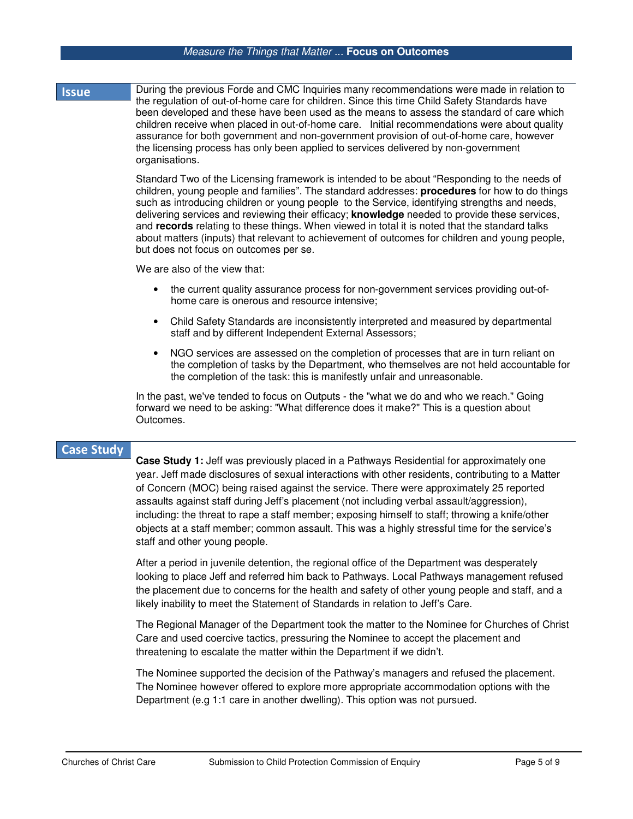### *Measure the Things that Matter ...* **Focus on Outcomes**

### **Iss**  During the previous Forde and CMC Inquiries many recommendations were made in relation to the regulation of out-of-home care for children. Since this time Child Safety Standards have been developed and these have been used as the means to assess the standard of care which children receive when placed in out-of-home care. Initial recommendations were about quality assurance for both government and non-government provision of out-of-home care, however the licensing process has only been applied to services delivered by non-government organisations.

Standard Two of the Licensing framework is intended to be about "Responding to the needs of children, young people and families". The standard addresses: **procedures** for how to do things such as introducing children or young people to the Service, identifying strengths and needs, delivering services and reviewing their efficacy; **knowledge** needed to provide these services, and **records** relating to these things. When viewed in total it is noted that the standard talks about matters (inputs) that relevant to achievement of outcomes for children and young people, but does not focus on outcomes per se.

We are also of the view that:

- the current quality assurance process for non-government services providing out-ofhome care is onerous and resource intensive;
- Child Safety Standards are inconsistently interpreted and measured by departmental staff and by different Independent External Assessors;
- NGO services are assessed on the completion of processes that are in turn reliant on the completion of tasks by the Department, who themselves are not held accountable for the completion of the task: this is manifestly unfair and unreasonable.

In the past, we've tended to focus on Outputs - the "what we do and who we reach." Going forward we need to be asking: "What difference does it make?" This is a question about Outcomes.

## **Case Study**

**Case Study 1:** Jeff was previously placed in a Pathways Residential for approximately one year. Jeff made disclosures of sexual interactions with other residents, contributing to a Matter of Concern (MOC) being raised against the service. There were approximately 25 reported assaults against staff during Jeff's placement (not including verbal assault/aggression), including: the threat to rape a staff member; exposing himself to staff; throwing a knife/other objects at a staff member; common assault. This was a highly stressful time for the service's staff and other young people.

After a period in juvenile detention, the regional office of the Department was desperately looking to place Jeff and referred him back to Pathways. Local Pathways management refused the placement due to concerns for the health and safety of other young people and staff, and a likely inability to meet the Statement of Standards in relation to Jeff's Care.

The Regional Manager of the Department took the matter to the Nominee for Churches of Christ Care and used coercive tactics, pressuring the Nominee to accept the placement and threatening to escalate the matter within the Department if we didn't.

The Nominee supported the decision of the Pathway's managers and refused the placement. The Nominee however offered to explore more appropriate accommodation options with the Department (e.g 1:1 care in another dwelling). This option was not pursued.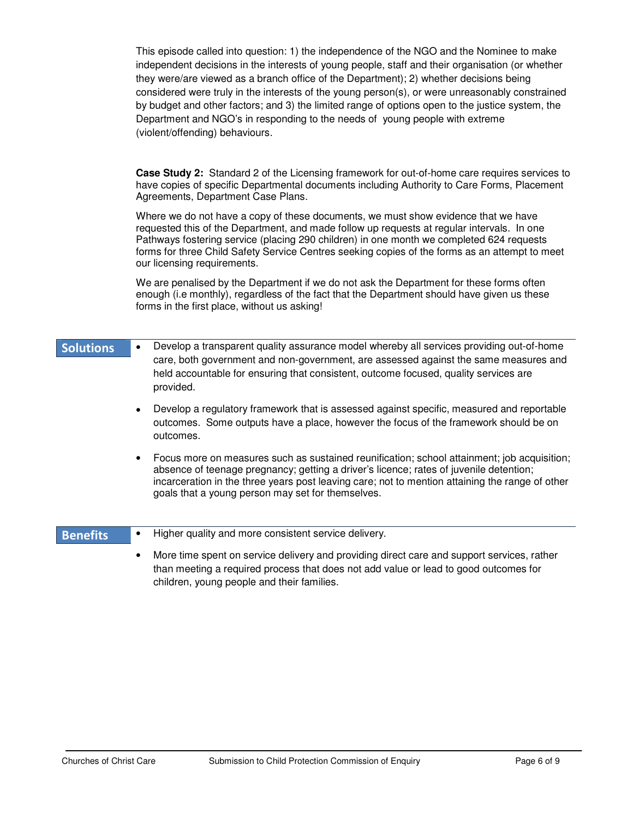This episode called into question: 1) the independence of the NGO and the Nominee to make independent decisions in the interests of young people, staff and their organisation (or whether they were/are viewed as a branch office of the Department); 2) whether decisions being considered were truly in the interests of the young person(s), or were unreasonably constrained by budget and other factors; and 3) the limited range of options open to the justice system, the Department and NGO's in responding to the needs of young people with extreme (violent/offending) behaviours.

**Case Study 2:** Standard 2 of the Licensing framework for out-of-home care requires services to have copies of specific Departmental documents including Authority to Care Forms, Placement Agreements, Department Case Plans.

Where we do not have a copy of these documents, we must show evidence that we have requested this of the Department, and made follow up requests at regular intervals. In one Pathways fostering service (placing 290 children) in one month we completed 624 requests forms for three Child Safety Service Centres seeking copies of the forms as an attempt to meet our licensing requirements.

We are penalised by the Department if we do not ask the Department for these forms often enough (i.e monthly), regardless of the fact that the Department should have given us these forms in the first place, without us asking!

- **Solutions**  • Develop a transparent quality assurance model whereby all services providing out-of-home care, both government and non-government, are assessed against the same measures and held accountable for ensuring that consistent, outcome focused, quality services are provided.
	- Develop a regulatory framework that is assessed against specific, measured and reportable outcomes. Some outputs have a place, however the focus of the framework should be on outcomes.
	- Focus more on measures such as sustained reunification; school attainment; job acquisition; absence of teenage pregnancy; getting a driver's licence; rates of juvenile detention; incarceration in the three years post leaving care; not to mention attaining the range of other goals that a young person may set for themselves.

#### **Benefits** • Higher quality and more consistent service delivery.

• More time spent on service delivery and providing direct care and support services, rather than meeting a required process that does not add value or lead to good outcomes for children, young people and their families.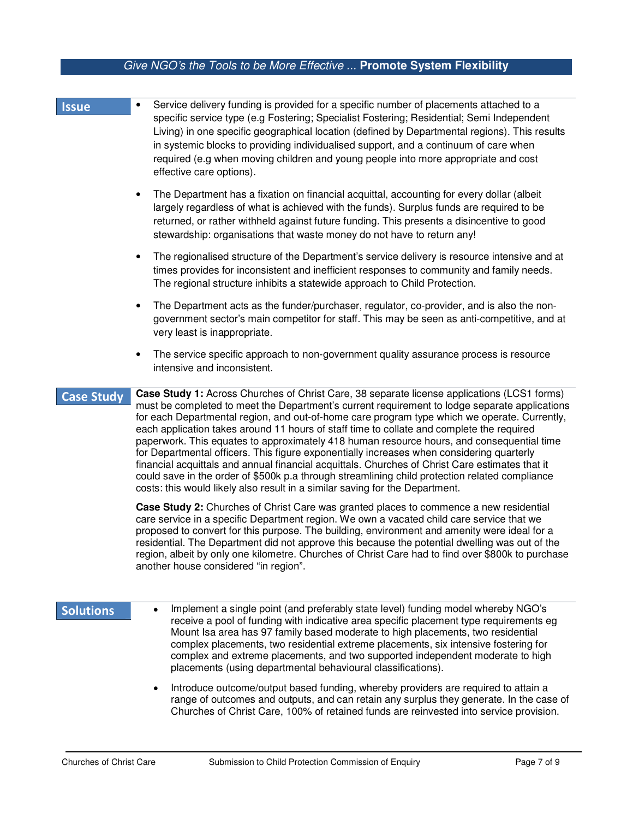# *Give NGO's the Tools to be More Effective ...* **Promote System Flexibility**

| <b>Issue</b>      | Service delivery funding is provided for a specific number of placements attached to a<br>$\bullet$<br>specific service type (e.g Fostering; Specialist Fostering; Residential; Semi Independent<br>Living) in one specific geographical location (defined by Departmental regions). This results<br>in systemic blocks to providing individualised support, and a continuum of care when<br>required (e.g when moving children and young people into more appropriate and cost<br>effective care options).                                                                                                                                                                                                                                                                                                                                                              |
|-------------------|--------------------------------------------------------------------------------------------------------------------------------------------------------------------------------------------------------------------------------------------------------------------------------------------------------------------------------------------------------------------------------------------------------------------------------------------------------------------------------------------------------------------------------------------------------------------------------------------------------------------------------------------------------------------------------------------------------------------------------------------------------------------------------------------------------------------------------------------------------------------------|
|                   | The Department has a fixation on financial acquittal, accounting for every dollar (albeit<br>$\bullet$<br>largely regardless of what is achieved with the funds). Surplus funds are required to be<br>returned, or rather withheld against future funding. This presents a disincentive to good<br>stewardship: organisations that waste money do not have to return any!                                                                                                                                                                                                                                                                                                                                                                                                                                                                                                |
|                   | The regionalised structure of the Department's service delivery is resource intensive and at<br>$\bullet$<br>times provides for inconsistent and inefficient responses to community and family needs.<br>The regional structure inhibits a statewide approach to Child Protection.                                                                                                                                                                                                                                                                                                                                                                                                                                                                                                                                                                                       |
|                   | The Department acts as the funder/purchaser, regulator, co-provider, and is also the non-<br>٠<br>government sector's main competitor for staff. This may be seen as anti-competitive, and at<br>very least is inappropriate.                                                                                                                                                                                                                                                                                                                                                                                                                                                                                                                                                                                                                                            |
|                   | The service specific approach to non-government quality assurance process is resource<br>٠<br>intensive and inconsistent.                                                                                                                                                                                                                                                                                                                                                                                                                                                                                                                                                                                                                                                                                                                                                |
| <b>Case Study</b> | Case Study 1: Across Churches of Christ Care, 38 separate license applications (LCS1 forms)<br>must be completed to meet the Department's current requirement to lodge separate applications<br>for each Departmental region, and out-of-home care program type which we operate. Currently,<br>each application takes around 11 hours of staff time to collate and complete the required<br>paperwork. This equates to approximately 418 human resource hours, and consequential time<br>for Departmental officers. This figure exponentially increases when considering quarterly<br>financial acquittals and annual financial acquittals. Churches of Christ Care estimates that it<br>could save in the order of \$500k p.a through streamlining child protection related compliance<br>costs: this would likely also result in a similar saving for the Department. |
|                   | Case Study 2: Churches of Christ Care was granted places to commence a new residential<br>care service in a specific Department region. We own a vacated child care service that we<br>proposed to convert for this purpose. The building, environment and amenity were ideal for a<br>residential. The Department did not approve this because the potential dwelling was out of the<br>region, albeit by only one kilometre. Churches of Christ Care had to find over \$800k to purchase<br>another house considered "in region".                                                                                                                                                                                                                                                                                                                                      |
| <b>Solutions</b>  | Implement a single point (and preferably state level) funding model whereby NGO's<br>receive a pool of funding with indicative area specific placement type requirements eg<br>Mount Isa area has 97 family based moderate to high placements, two residential<br>complex placements, two residential extreme placements, six intensive fostering for<br>complex and extreme placements, and two supported independent moderate to high<br>placements (using departmental behavioural classifications).                                                                                                                                                                                                                                                                                                                                                                  |

• Introduce outcome/output based funding, whereby providers are required to attain a range of outcomes and outputs, and can retain any surplus they generate. In the case of Churches of Christ Care, 100% of retained funds are reinvested into service provision.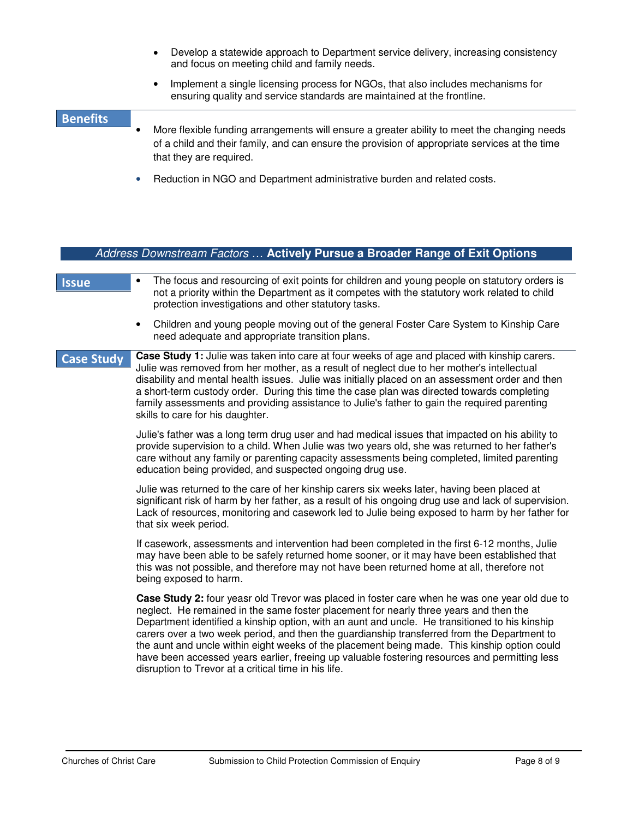- Develop a statewide approach to Department service delivery, increasing consistency and focus on meeting child and family needs.
- Implement a single licensing process for NGOs, that also includes mechanisms for ensuring quality and service standards are maintained at the frontline.

## **Benefits** • More flexible funding arrangements will ensure a greater ability to meet the changing needs of a child and their family, and can ensure the provision of appropriate services at the time that they are required.

• Reduction in NGO and Department administrative burden and related costs.

|                   | Address Downstream Factors  Actively Pursue a Broader Range of Exit Options                                                                                                                                                                                                                                                                                                                                                                                                                                                     |
|-------------------|---------------------------------------------------------------------------------------------------------------------------------------------------------------------------------------------------------------------------------------------------------------------------------------------------------------------------------------------------------------------------------------------------------------------------------------------------------------------------------------------------------------------------------|
|                   |                                                                                                                                                                                                                                                                                                                                                                                                                                                                                                                                 |
| <b>Issue</b>      | The focus and resourcing of exit points for children and young people on statutory orders is<br>٠<br>not a priority within the Department as it competes with the statutory work related to child<br>protection investigations and other statutory tasks.                                                                                                                                                                                                                                                                       |
|                   | Children and young people moving out of the general Foster Care System to Kinship Care<br>$\bullet$<br>need adequate and appropriate transition plans.                                                                                                                                                                                                                                                                                                                                                                          |
| <b>Case Study</b> | Case Study 1: Julie was taken into care at four weeks of age and placed with kinship carers.<br>Julie was removed from her mother, as a result of neglect due to her mother's intellectual<br>disability and mental health issues. Julie was initially placed on an assessment order and then<br>a short-term custody order. During this time the case plan was directed towards completing<br>family assessments and providing assistance to Julie's father to gain the required parenting<br>skills to care for his daughter. |
|                   | Julie's father was a long term drug user and had medical issues that impacted on his ability to<br>provide supervision to a child. When Julie was two years old, she was returned to her father's<br>care without any family or parenting capacity assessments being completed, limited parenting<br>education being provided, and suspected ongoing drug use.                                                                                                                                                                  |
|                   | Julie was returned to the care of her kinship carers six weeks later, having been placed at<br>significant risk of harm by her father, as a result of his ongoing drug use and lack of supervision.<br>Lack of resources, monitoring and casework led to Julie being exposed to harm by her father for<br>that six week period.                                                                                                                                                                                                 |
|                   | If casework, assessments and intervention had been completed in the first 6-12 months, Julie<br>may have been able to be safely returned home sooner, or it may have been established that<br>this was not possible, and therefore may not have been returned home at all, therefore not<br>being exposed to harm.                                                                                                                                                                                                              |
|                   | Case Study 2: four yeasr old Trevor was placed in foster care when he was one year old due to<br>neglect. He remained in the same foster placement for nearly three years and then the<br>Department identified a kinship option, with an aunt and uncle. He transitioned to his kinship<br>carers over a two week period, and then the guardianship transferred from the Department to<br>the aunt and uncle within eight weeks of the placement being made. This kinship option could                                         |

disruption to Trevor at a critical time in his life.

have been accessed years earlier, freeing up valuable fostering resources and permitting less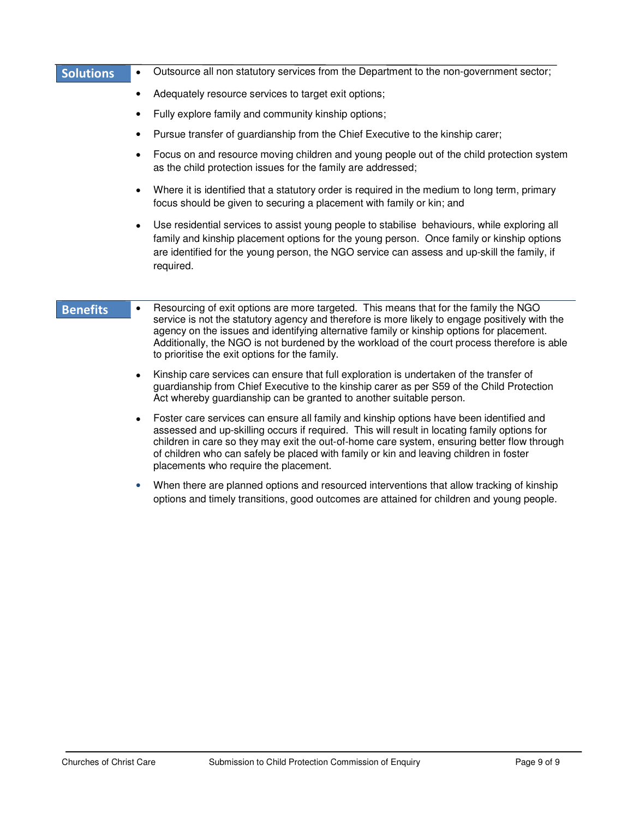| <b>Solutions</b> | $\bullet$ | Outsource all non statutory services from the Department to the non-government sector;                                                                                                                                                                                                                                                                                                                                                |
|------------------|-----------|---------------------------------------------------------------------------------------------------------------------------------------------------------------------------------------------------------------------------------------------------------------------------------------------------------------------------------------------------------------------------------------------------------------------------------------|
|                  | ٠         | Adequately resource services to target exit options;                                                                                                                                                                                                                                                                                                                                                                                  |
|                  | ٠         | Fully explore family and community kinship options;                                                                                                                                                                                                                                                                                                                                                                                   |
|                  | ٠         | Pursue transfer of guardianship from the Chief Executive to the kinship carer;                                                                                                                                                                                                                                                                                                                                                        |
|                  |           | Focus on and resource moving children and young people out of the child protection system<br>as the child protection issues for the family are addressed;                                                                                                                                                                                                                                                                             |
|                  |           | Where it is identified that a statutory order is required in the medium to long term, primary<br>focus should be given to securing a placement with family or kin; and                                                                                                                                                                                                                                                                |
|                  | $\bullet$ | Use residential services to assist young people to stabilise behaviours, while exploring all<br>family and kinship placement options for the young person. Once family or kinship options<br>are identified for the young person, the NGO service can assess and up-skill the family, if<br>required.                                                                                                                                 |
| <b>Benefits</b>  | $\bullet$ | Resourcing of exit options are more targeted. This means that for the family the NGO<br>service is not the statutory agency and therefore is more likely to engage positively with the<br>agency on the issues and identifying alternative family or kinship options for placement.<br>Additionally, the NGO is not burdened by the workload of the court process therefore is able<br>to prioritise the exit options for the family. |
|                  |           | Kinship care services can ensure that full exploration is undertaken of the transfer of<br>guardianship from Chief Executive to the kinship carer as per S59 of the Child Protection<br>Act whereby guardianship can be granted to another suitable person.                                                                                                                                                                           |
|                  | $\bullet$ | Foster care services can ensure all family and kinship options have been identified and<br>assessed and up-skilling occurs if required. This will result in locating family options for<br>children in care so they may exit the out-of-home care system, ensuring better flow through<br>of children who can safely be placed with family or kin and leaving children in foster<br>placements who require the placement.             |
|                  |           | When there are planned options and resourced interventions that allow tracking of kinship<br>options and timely transitions, good outcomes are attained for children and young people.                                                                                                                                                                                                                                                |